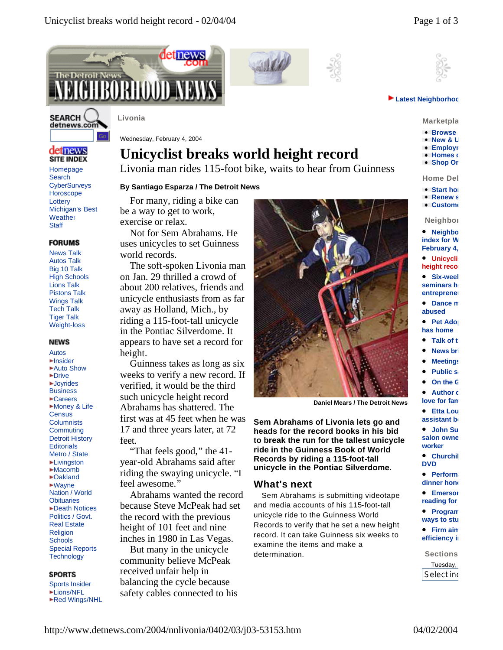

Homepage **Search CyberSurveys Horoscope Lottery** Michigan's Best **Weather Staff** 

det news **SITE INDEX** 

**SEARCH** detnews.com

News Talk Autos Talk Big 10 Talk High Schools Lions Talk Pistons Talk Wings Talk Tech Talk Tiger Talk Weight-loss

**FORUMS** 

Autos Insider Auto Show **-Drive -Joyrides Business** Careers Money & Life **Census Columnists Commuting** Detroit History **Editorials** Metro / State **Livinaston** Macomb Oakland Wayne Nation / World **Obituaries** Death Notices Politics / Govt. Real Estate Religion **Schools** Special Reports **Technology** 

**NEWS** 





#### **Latest Neighborhood**

**Marketpla** 

- **Browse**
- **New & U Employe**
- **Homes** or
- **Shop Or**

**Home Del** 

- **Start home**
- **Renews**
- **Custome**

**Neighbor** 

**•** Neighbo **index for W February 4,** 

- **Unicyclis height record**
- **Six-week seminars he entreprenei**
- **Dance m abused**
- **Pet Ado has home**
- **Talk of the Talk**
- **News bri**
- l **Meetings**
- **Public sa**
- **On the G**
- **Author c** love for fam

**•** Etta Lou **assistant be** 

- **•** John Su salon owner **worker**
- **Churchil DVD**
- **•** Perform: dinner hond
- **•** Emerson **reading for**
- **•** Program **ways to study**
- **•** Firm aim **efficiency** in
- **Sections** Tuesday, Select ind

Wednesday, February 4, 2004

# **Unicyclist breaks world height record**

Livonia man rides 115-foot bike, waits to hear from Guinness

### **By Santiago Esparza / The Detroit News**

For many, riding a bike can be a way to get to work, exercise or relax.

Not for Sem Abrahams. He uses unicycles to set Guinness world records.

on Jan. 29 thrilled a crowd of about 200 relatives, friends and unicycle enthusiasts from as far away as Holland, Mich., by riding a 115-foot-tall unicycle in the Pontiac Silverdome. It appears to have set a record for height.

Guinness takes as long as six weeks to verify a new record. If verified, it would be the third such unicycle height record Abrahams has shattered. The first was at 45 feet when he was 17 and three years later, at 72 feet.

"That feels good," the 41 year-old Abrahams said after riding the swaying unicycle. "I feel awesome."

Abrahams wanted the record because Steve McPeak had set the record with the previous height of 101 feet and nine inches in 1980 in Las Vegas.

But many in the unicycle community believe McPeak



**Daniel Mears / The Detroit News**

**Sem Abrahams of Livonia lets go and heads for the record books in his bid to break the run for the tallest unicycle ride in the Guinness Book of World Records by riding a 115-foot-tall unicycle in the Pontiac Silverdome.**

## **What's next**

Sem Abrahams is submitting videotape and media accounts of his 115-foot-tall unicycle ride to the Guinness World Records to verify that he set a new height record. It can take Guinness six weeks to examine the items and make a determination.

# Red Wings/NHL

Sports Insider **Lions/NFL** 

**SPORTS** 

http://www.detnews.com/2004/nnlivonia/0402/03/j03-53153.htm 04/02/2004

The soft-spoken Livonia man

received unfair help in balancing the cycle because safety cables connected to his

**Livonia**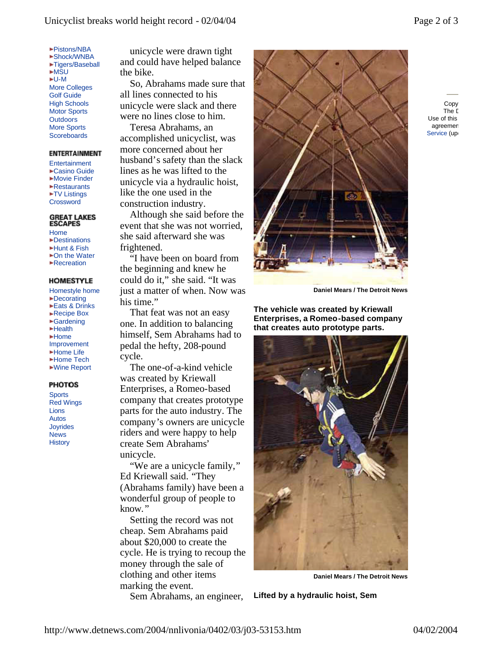- Pistons/NBA
- Shock/WNBA Tigers/Baseball **►MSU**  $-U-M$ More Colleges Golf Guide High Schools Motor Sports **Outdoors** More Sports **Scoreboards**

#### **ENTERTAINMENT**

**Entertainment** Casino Guide Movie Finder Restaurants **\*TV Listings Crossword** 

#### **GREAT LAKES ESCAPES**

- Home
- Destinations Hunt & Fish
- ►On the Water
- **Recreation**

### **HOMESTYLE**

- Homestyle home
- Decorating
- Eats & Drinks ►Recipe Box
- Gardening
- Health
- $Home$
- Improvement
- Home Life
- Home Tech
- Wine Report

#### **PHOTOS**

**Sports** Red Wings Lions Autos Joyrides News **History** 

unicycle were drawn tight and could have helped balance the bike.

So, Abrahams made sure that all lines connected to his unicycle were slack and there were no lines close to him.

Teresa Abrahams, an accomplished unicyclist, was more concerned about her husband's safety than the slack lines as he was lifted to the unicycle via a hydraulic hoist, like the one used in the construction industry.

Although she said before the event that she was not worried, she said afterward she was frightened.

"I have been on board from the beginning and knew he could do it," she said. "It was just a matter of when. Now was his time."

That feat was not an easy one. In addition to balancing himself, Sem Abrahams had to pedal the hefty, 208-pound cycle.

The one-of-a-kind vehicle was created by Kriewall Enterprises, a Romeo-based company that creates prototype parts for the auto industry. The company's owners are unicycle riders and were happy to help create Sem Abrahams' unicycle.

"We are a unicycle family," Ed Kriewall said. "They (Abrahams family) have been a wonderful group of people to know."

Setting the record was not cheap. Sem Abrahams paid about \$20,000 to create the cycle. He is trying to recoup the money through the sale of clothing and other items marking the event.

Sem Abrahams, an engineer,



Copy The D Use of this agreemen Service (up

**Daniel Mears / The Detroit News**

**The vehicle was created by Kriewall Enterprises, a Romeo-based company that creates auto prototype parts.**



**Daniel Mears / The Detroit News**

**Lifted by a hydraulic hoist, Sem**